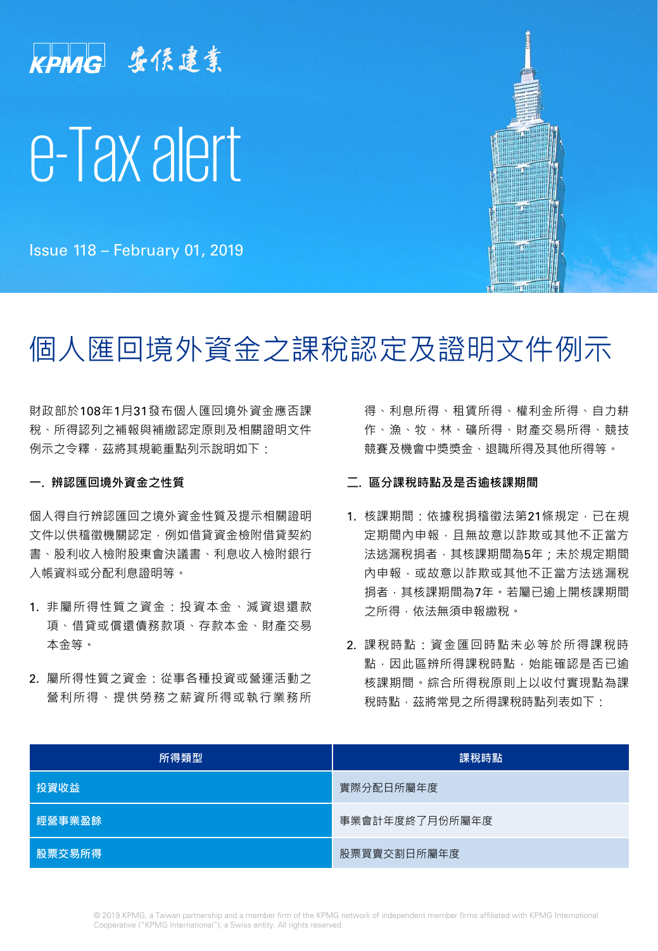

Issue 118 – February 01, 2019

# 個人匯回境外資金之課稅認定及證明文件例示

財政部於108年1月31發布個人匯回境外資金應否課 稅、所得認列之補報與補繳認定原則及相關證明文件 例示之令釋,茲將其規範重點列示說明如下:

## **一. 辨認匯回境外資金之性質**

個人得自行辨認匯回之境外資金性質及提示相關證明 文件以供稽徵機關認定,例如借貸資金檢附借貸契約 書、股利收入檢附股東會決議書、利息收入檢附銀行 入帳資料或分配利息證明等。

- 1. 非屬所得性質之資金:投資本金、減資退還款 項、借貸或償還債務款項、存款本金、財產交易 本金等。
- 2. 屬所得性質之資金:從事各種投資或營運活動之 營利所得、提供勞務之薪資所得或執行業務所

得、利息所得、租賃所得、權利金所得、自力耕 作、漁、牧、林、礦所得、財產交易所得、競技 競賽及機會中獎獎金、退職所得及其他所得等。

### **二. 區分課稅時點及是否逾核課期間**

- 1. 核課期間:依據稅捐稽徵法第21條規定,已在規 定期間內申報,且無故意以詐欺或其他不正當方 法逃漏稅捐者,其核課期間為5年;未於規定期間 內申報,或故意以詐欺或其他不正當方法逃漏稅 捐者,其核課期間為7年。若屬已逾上開核課期間 之所得,依法無須申報繳稅。
- 2. 課稅時點:資金匯回時點未必等於所得課稅時 點,因此區辨所得課稅時點,始能確認是否已逾 核課期間。綜合所得稅原則上以收付實現點為課 稅時點,茲將常見之所得課稅時點列表如下:

| 所得類型   | 課稅時點           |
|--------|----------------|
| 投資收益   | 實際分配日所屬年度      |
| 經營事業盈餘 | 事業會計年度終了月份所屬年度 |
| 股票交易所得 | 股票買賣交割日所屬年度    |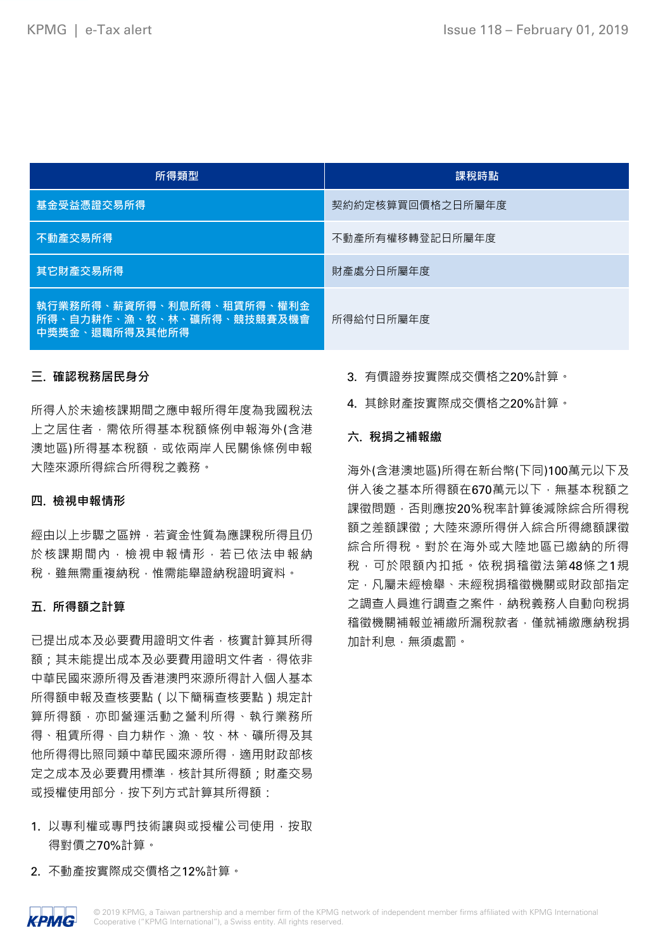| 所得類型                                                                     | 課稅時點             |
|--------------------------------------------------------------------------|------------------|
| 基金受益憑證交易所得                                                               | 契約約定核算買回價格之日所屬年度 |
| 不動產交易所得                                                                  | 不動產所有權移轉登記日所屬年度  |
| 其它財產交易所得                                                                 | 財產處分日所屬年度        |
| 執行業務所得、薪資所得、利息所得、租賃所得、權利金<br>所得、自力耕作、漁、牧、林、礦所得、競技競賽及機會<br>中獎獎金、退職所得及其他所得 | 所得給付日所屬年度        |

## **三. 確認稅務居民身分**

所得人於未逾核課期間之應申報所得年度為我國稅法 上之居住者,需依所得基本稅額條例申報海外(含港 澳地區)所得基本稅額,或依兩岸人民關係條例申報 大陸來源所得綜合所得稅之義務。

### **四. 檢視申報情形**

經由以上步驟之區辨,若資金性質為應課稅所得且仍 於核課期間內,檢視申報情形,若已依法申報納 税,雖無需重複納稅,惟需能舉證納稅證明資料。

### **五. 所得額之計算**

已提出成本及必要費用證明文件者,核實計算其所得 額;其未能提出成本及必要費用證明文件者,得依非 中華民國來源所得及香港澳門來源所得計入個人基本 所得額申報及查核要點(以下簡稱查核要點)規定計 算所得額,亦即營運活動之營利所得、執行業務所 得、租賃所得、自力耕作、漁、牧、林、礦所得及其 他所得得比照同類中華民國來源所得,適用財政部核 定之成本及必要費用標準,核計其所得額;財產交易 或授權使用部分, 按下列方式計算其所得額:

- 1. 以專利權或專門技術讓與或授權公司使用, 按取 得對價之70%計算。
- 2. 不動產按實際成交價格之12%計算。
- 3. 有價證券按實際成交價格之20%計算。
- 4. 其餘財產按實際成交價格之20%計算。

### **六. 稅捐之補報繳**

海外(含港澳地區)所得在新台幣(下同)100萬元以下及 併入後之基本所得額在670萬元以下,無基本稅額之 課徵問題,否則應按20%稅率計算後減除綜合所得稅 額之差額課徵;大陸來源所得併入綜合所得總額課徵 綜合所得稅。對於在海外或大陸地區已繳納的所得 稅,可於限額內扣抵。依稅捐稽徵法第48條之1規 定,凡屬未經檢舉、未經稅捐稽徵機關或財政部指定 之調查人員進行調查之案件,納稅義務人自動向稅捐 稽徵機關補報並補繳所漏稅款者,僅就補繳應納稅捐 加計利息,無須處罰。

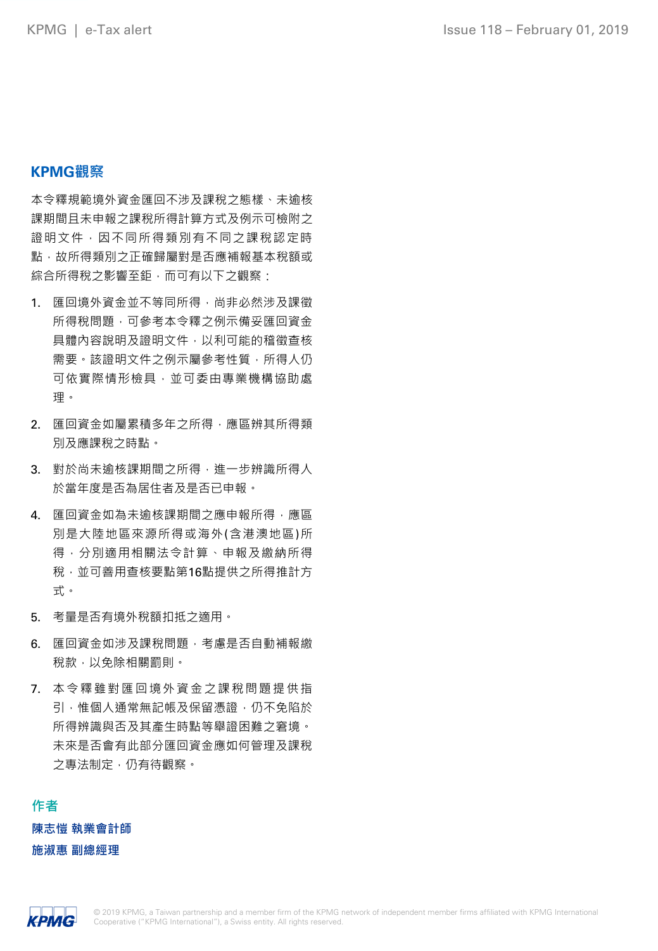# **KPMG觀察**

本令釋規範境外資金匯回不涉及課稅之態樣、未逾核 課期間且未申報之課稅所得計算方式及例示可檢附之 證明文件,因不同所得類別有不同之課稅認定時 點,故所得類別之正確歸屬對是否應補報基本稅額或 綜合所得稅之影響至鉅,而可有以下之觀察:

- 1. 匯回境外資金並不等同所得,尚非必然涉及課徵 所得稅問題,可參考本令釋之例示備妥匯回資金 具體內容說明及證明文件,以利可能的稽徵查核 需要。該證明文件之例示屬參考性質,所得人仍 可依實際情形檢具,並可委由專業機構協助處 理。
- 2. 匯回資金如屬累積多年之所得,應區辨其所得類 別及應課稅之時點。
- 3. 對於尚未逾核課期間之所得, 進一步辨識所得人 於當年度是否為居住者及是否已申報。
- 4. 匯回資金如為未逾核課期間之應申報所得,應區 別是大陸地區來源所得或海外(含港澳地區)所 得,分別適用相關法令計算、申報及繳納所得 稅,並可善用查核要點第16點提供之所得推計方 式。
- 5. 考量是否有境外稅額扣抵之適用。
- 6. 匯回資金如涉及課稅問題,考慮是否自動補報繳 稅款,以免除相關罰則。
- 7. 本令釋雖對匯回境外資金之課稅問題提供指 引,惟個人通常無記帳及保留憑證,仍不免陷於 所得辨識與否及其產生時點等舉證困難之窘境。 未來是否會有此部分匯回資金應如何管理及課稅 之專法制定,仍有待觀察。

**作者 陳志愷 執業會計師 施淑惠 副總經理**